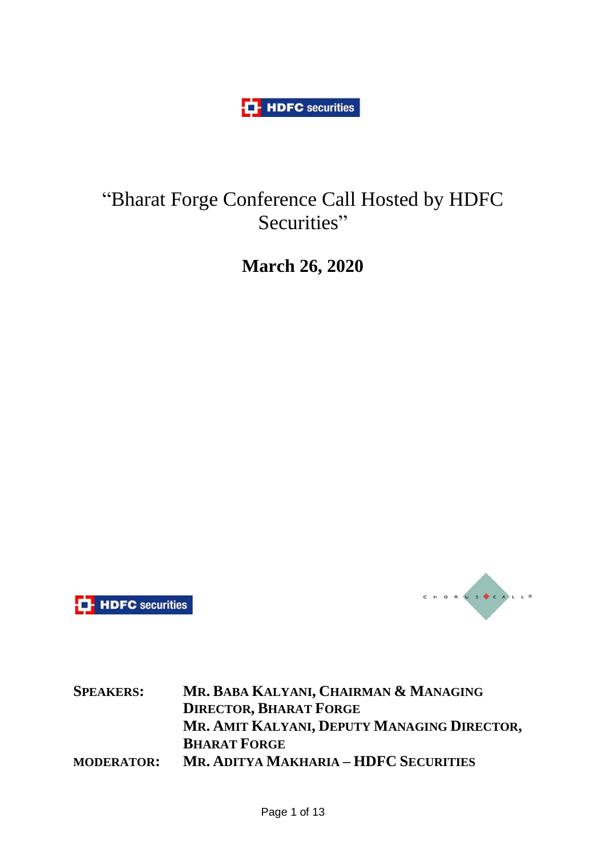**HDFC** securities

# "Bharat Forge Conference Call Hosted by HDFC Securities"

**March 26, 2020**





**SPEAKERS: MR. BABA KALYANI, CHAIRMAN & MANAGING DIRECTOR, BHARAT FORGE MR. AMIT KALYANI, DEPUTY MANAGING DIRECTOR, BHARAT FORGE MODERATOR: MR. ADITYA MAKHARIA – HDFC SECURITIES**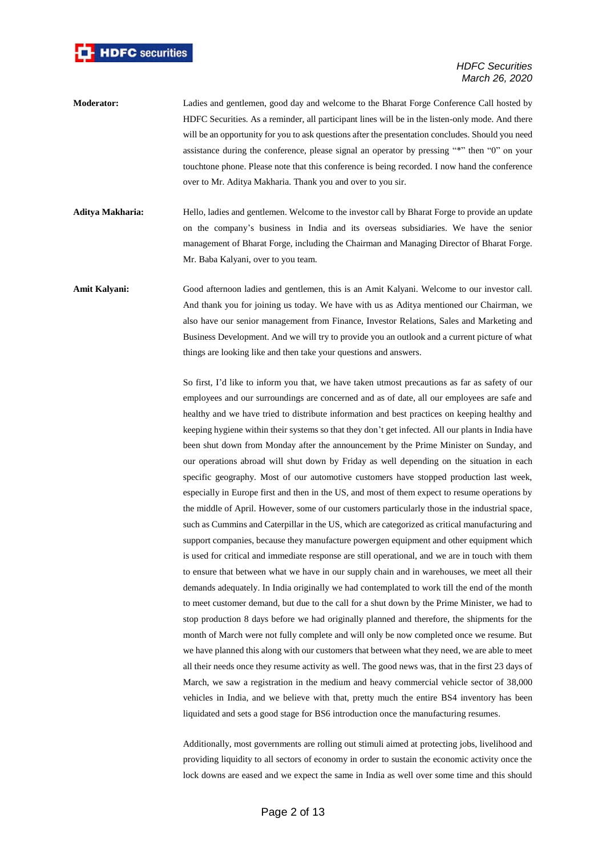

- **Moderator:** Ladies and gentlemen, good day and welcome to the Bharat Forge Conference Call hosted by HDFC Securities. As a reminder, all participant lines will be in the listen-only mode. And there will be an opportunity for you to ask questions after the presentation concludes. Should you need assistance during the conference, please signal an operator by pressing "\*" then "0" on your touchtone phone. Please note that this conference is being recorded. I now hand the conference over to Mr. Aditya Makharia. Thank you and over to you sir.
- **Aditya Makharia:** Hello, ladies and gentlemen. Welcome to the investor call by Bharat Forge to provide an update on the company's business in India and its overseas subsidiaries. We have the senior management of Bharat Forge, including the Chairman and Managing Director of Bharat Forge. Mr. Baba Kalyani, over to you team.
- **Amit Kalyani:** Good afternoon ladies and gentlemen, this is an Amit Kalyani. Welcome to our investor call. And thank you for joining us today. We have with us as Aditya mentioned our Chairman, we also have our senior management from Finance, Investor Relations, Sales and Marketing and Business Development. And we will try to provide you an outlook and a current picture of what things are looking like and then take your questions and answers.

So first, I'd like to inform you that, we have taken utmost precautions as far as safety of our employees and our surroundings are concerned and as of date, all our employees are safe and healthy and we have tried to distribute information and best practices on keeping healthy and keeping hygiene within their systems so that they don't get infected. All our plants in India have been shut down from Monday after the announcement by the Prime Minister on Sunday, and our operations abroad will shut down by Friday as well depending on the situation in each specific geography. Most of our automotive customers have stopped production last week, especially in Europe first and then in the US, and most of them expect to resume operations by the middle of April. However, some of our customers particularly those in the industrial space, such as Cummins and Caterpillar in the US, which are categorized as critical manufacturing and support companies, because they manufacture powergen equipment and other equipment which is used for critical and immediate response are still operational, and we are in touch with them to ensure that between what we have in our supply chain and in warehouses, we meet all their demands adequately. In India originally we had contemplated to work till the end of the month to meet customer demand, but due to the call for a shut down by the Prime Minister, we had to stop production 8 days before we had originally planned and therefore, the shipments for the month of March were not fully complete and will only be now completed once we resume. But we have planned this along with our customers that between what they need, we are able to meet all their needs once they resume activity as well. The good news was, that in the first 23 days of March, we saw a registration in the medium and heavy commercial vehicle sector of 38,000 vehicles in India, and we believe with that, pretty much the entire BS4 inventory has been liquidated and sets a good stage for BS6 introduction once the manufacturing resumes.

Additionally, most governments are rolling out stimuli aimed at protecting jobs, livelihood and providing liquidity to all sectors of economy in order to sustain the economic activity once the lock downs are eased and we expect the same in India as well over some time and this should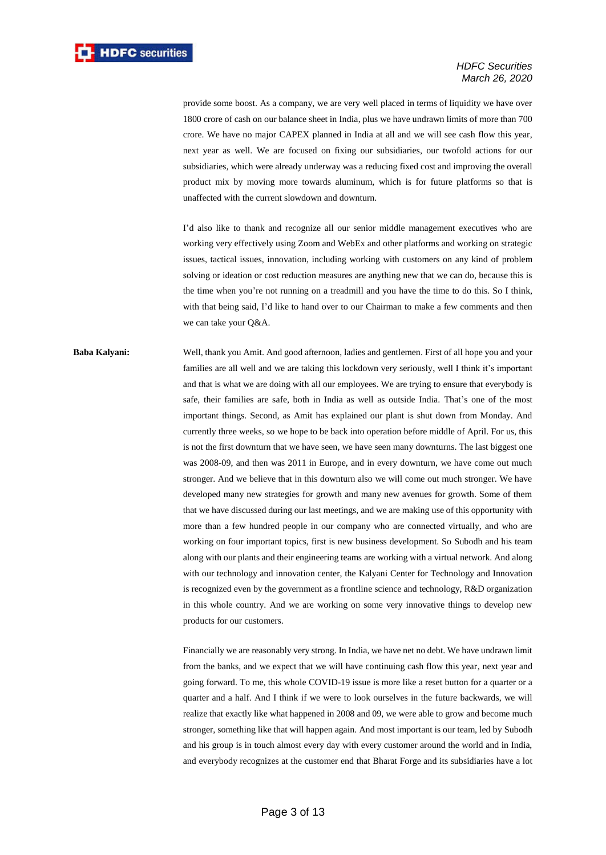provide some boost. As a company, we are very well placed in terms of liquidity we have over 1800 crore of cash on our balance sheet in India, plus we have undrawn limits of more than 700 crore. We have no major CAPEX planned in India at all and we will see cash flow this year, next year as well. We are focused on fixing our subsidiaries, our twofold actions for our subsidiaries, which were already underway was a reducing fixed cost and improving the overall product mix by moving more towards aluminum, which is for future platforms so that is unaffected with the current slowdown and downturn.

I'd also like to thank and recognize all our senior middle management executives who are working very effectively using Zoom and WebEx and other platforms and working on strategic issues, tactical issues, innovation, including working with customers on any kind of problem solving or ideation or cost reduction measures are anything new that we can do, because this is the time when you're not running on a treadmill and you have the time to do this. So I think, with that being said, I'd like to hand over to our Chairman to make a few comments and then we can take your Q&A.

## **Baba Kalyani:** Well, thank you Amit. And good afternoon, ladies and gentlemen. First of all hope you and your families are all well and we are taking this lockdown very seriously, well I think it's important and that is what we are doing with all our employees. We are trying to ensure that everybody is safe, their families are safe, both in India as well as outside India. That's one of the most important things. Second, as Amit has explained our plant is shut down from Monday. And currently three weeks, so we hope to be back into operation before middle of April. For us, this is not the first downturn that we have seen, we have seen many downturns. The last biggest one was 2008-09, and then was 2011 in Europe, and in every downturn, we have come out much stronger. And we believe that in this downturn also we will come out much stronger. We have developed many new strategies for growth and many new avenues for growth. Some of them that we have discussed during our last meetings, and we are making use of this opportunity with more than a few hundred people in our company who are connected virtually, and who are working on four important topics, first is new business development. So Subodh and his team along with our plants and their engineering teams are working with a virtual network. And along with our technology and innovation center, the Kalyani Center for Technology and Innovation is recognized even by the government as a frontline science and technology, R&D organization in this whole country. And we are working on some very innovative things to develop new products for our customers.

Financially we are reasonably very strong. In India, we have net no debt. We have undrawn limit from the banks, and we expect that we will have continuing cash flow this year, next year and going forward. To me, this whole COVID-19 issue is more like a reset button for a quarter or a quarter and a half. And I think if we were to look ourselves in the future backwards, we will realize that exactly like what happened in 2008 and 09, we were able to grow and become much stronger, something like that will happen again. And most important is our team, led by Subodh and his group is in touch almost every day with every customer around the world and in India, and everybody recognizes at the customer end that Bharat Forge and its subsidiaries have a lot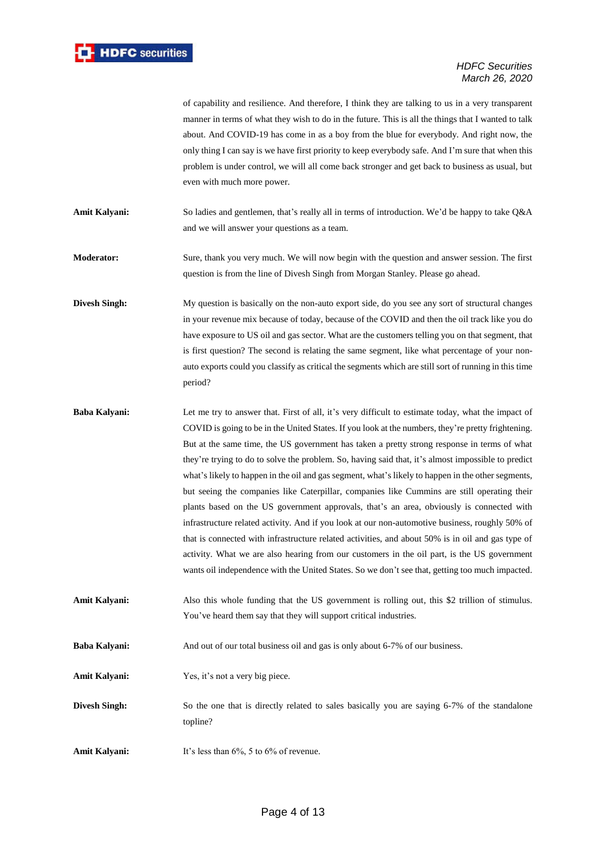

of capability and resilience. And therefore, I think they are talking to us in a very transparent manner in terms of what they wish to do in the future. This is all the things that I wanted to talk about. And COVID-19 has come in as a boy from the blue for everybody. And right now, the only thing I can say is we have first priority to keep everybody safe. And I'm sure that when this problem is under control, we will all come back stronger and get back to business as usual, but even with much more power.

**Amit Kalyani:** So ladies and gentlemen, that's really all in terms of introduction. We'd be happy to take Q&A and we will answer your questions as a team.

**Moderator:** Sure, thank you very much. We will now begin with the question and answer session. The first question is from the line of Divesh Singh from Morgan Stanley. Please go ahead.

**Divesh Singh:** My question is basically on the non-auto export side, do you see any sort of structural changes in your revenue mix because of today, because of the COVID and then the oil track like you do have exposure to US oil and gas sector. What are the customers telling you on that segment, that is first question? The second is relating the same segment, like what percentage of your nonauto exports could you classify as critical the segments which are still sort of running in this time period?

- **Baba Kalyani:** Let me try to answer that. First of all, it's very difficult to estimate today, what the impact of COVID is going to be in the United States. If you look at the numbers, they're pretty frightening. But at the same time, the US government has taken a pretty strong response in terms of what they're trying to do to solve the problem. So, having said that, it's almost impossible to predict what's likely to happen in the oil and gas segment, what's likely to happen in the other segments, but seeing the companies like Caterpillar, companies like Cummins are still operating their plants based on the US government approvals, that's an area, obviously is connected with infrastructure related activity. And if you look at our non-automotive business, roughly 50% of that is connected with infrastructure related activities, and about 50% is in oil and gas type of activity. What we are also hearing from our customers in the oil part, is the US government wants oil independence with the United States. So we don't see that, getting too much impacted.
- **Amit Kalyani:** Also this whole funding that the US government is rolling out, this \$2 trillion of stimulus. You've heard them say that they will support critical industries.

**Baba Kalyani:** And out of our total business oil and gas is only about 6-7% of our business.

Amit Kalyani: Yes, it's not a very big piece.

**Divesh Singh:** So the one that is directly related to sales basically you are saying 6-7% of the standalone topline?

Amit Kalyani: It's less than 6%, 5 to 6% of revenue.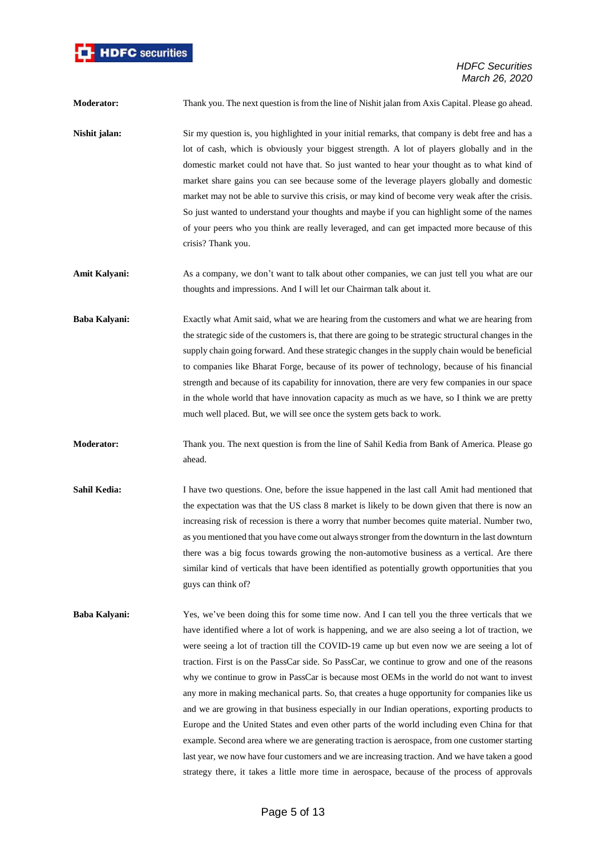

**Moderator:** Thank you. The next question is from the line of Nishit jalan from Axis Capital. Please go ahead.

- **Nishit jalan:** Sir my question is, you highlighted in your initial remarks, that company is debt free and has a lot of cash, which is obviously your biggest strength. A lot of players globally and in the domestic market could not have that. So just wanted to hear your thought as to what kind of market share gains you can see because some of the leverage players globally and domestic market may not be able to survive this crisis, or may kind of become very weak after the crisis. So just wanted to understand your thoughts and maybe if you can highlight some of the names of your peers who you think are really leveraged, and can get impacted more because of this crisis? Thank you.
- **Amit Kalyani:** As a company, we don't want to talk about other companies, we can just tell you what are our thoughts and impressions. And I will let our Chairman talk about it.
- **Baba Kalyani:** Exactly what Amit said, what we are hearing from the customers and what we are hearing from the strategic side of the customers is, that there are going to be strategic structural changes in the supply chain going forward. And these strategic changes in the supply chain would be beneficial to companies like Bharat Forge, because of its power of technology, because of his financial strength and because of its capability for innovation, there are very few companies in our space in the whole world that have innovation capacity as much as we have, so I think we are pretty much well placed. But, we will see once the system gets back to work.
- **Moderator:** Thank you. The next question is from the line of Sahil Kedia from Bank of America. Please go ahead.
- **Sahil Kedia:** I have two questions. One, before the issue happened in the last call Amit had mentioned that the expectation was that the US class 8 market is likely to be down given that there is now an increasing risk of recession is there a worry that number becomes quite material. Number two, as you mentioned that you have come out always stronger from the downturn in the last downturn there was a big focus towards growing the non-automotive business as a vertical. Are there similar kind of verticals that have been identified as potentially growth opportunities that you guys can think of?
- **Baba Kalyani:** Yes, we've been doing this for some time now. And I can tell you the three verticals that we have identified where a lot of work is happening, and we are also seeing a lot of traction, we were seeing a lot of traction till the COVID-19 came up but even now we are seeing a lot of traction. First is on the PassCar side. So PassCar, we continue to grow and one of the reasons why we continue to grow in PassCar is because most OEMs in the world do not want to invest any more in making mechanical parts. So, that creates a huge opportunity for companies like us and we are growing in that business especially in our Indian operations, exporting products to Europe and the United States and even other parts of the world including even China for that example. Second area where we are generating traction is aerospace, from one customer starting last year, we now have four customers and we are increasing traction. And we have taken a good strategy there, it takes a little more time in aerospace, because of the process of approvals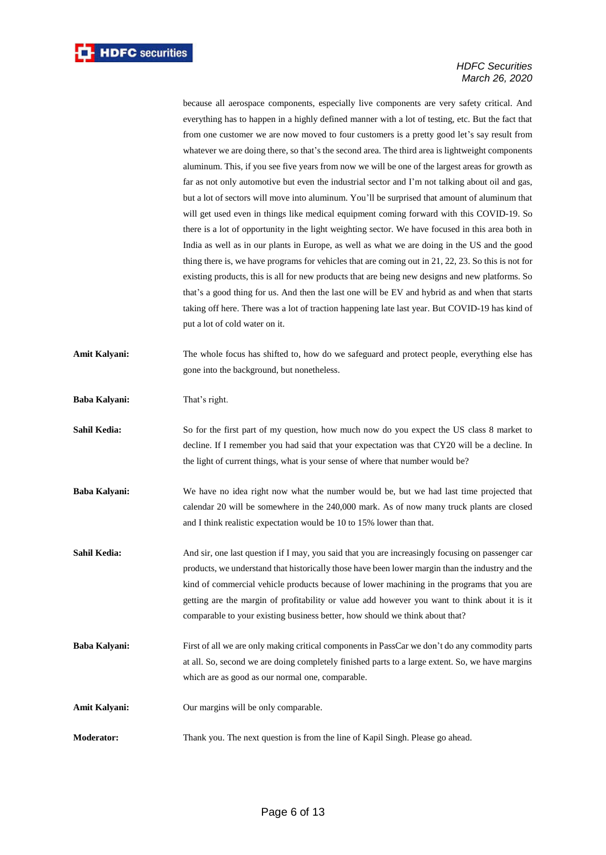because all aerospace components, especially live components are very safety critical. And everything has to happen in a highly defined manner with a lot of testing, etc. But the fact that from one customer we are now moved to four customers is a pretty good let's say result from whatever we are doing there, so that's the second area. The third area is lightweight components aluminum. This, if you see five years from now we will be one of the largest areas for growth as far as not only automotive but even the industrial sector and I'm not talking about oil and gas, but a lot of sectors will move into aluminum. You'll be surprised that amount of aluminum that will get used even in things like medical equipment coming forward with this COVID-19. So there is a lot of opportunity in the light weighting sector. We have focused in this area both in India as well as in our plants in Europe, as well as what we are doing in the US and the good thing there is, we have programs for vehicles that are coming out in 21, 22, 23. So this is not for existing products, this is all for new products that are being new designs and new platforms. So that's a good thing for us. And then the last one will be EV and hybrid as and when that starts taking off here. There was a lot of traction happening late last year. But COVID-19 has kind of put a lot of cold water on it.

**Amit Kalyani:** The whole focus has shifted to, how do we safeguard and protect people, everything else has gone into the background, but nonetheless.

**Baba Kalyani:** That's right.

- **Sahil Kedia:** So for the first part of my question, how much now do you expect the US class 8 market to decline. If I remember you had said that your expectation was that CY20 will be a decline. In the light of current things, what is your sense of where that number would be?
- **Baba Kalyani:** We have no idea right now what the number would be, but we had last time projected that calendar 20 will be somewhere in the 240,000 mark. As of now many truck plants are closed and I think realistic expectation would be 10 to 15% lower than that.
- **Sahil Kedia:** And sir, one last question if I may, you said that you are increasingly focusing on passenger car products, we understand that historically those have been lower margin than the industry and the kind of commercial vehicle products because of lower machining in the programs that you are getting are the margin of profitability or value add however you want to think about it is it comparable to your existing business better, how should we think about that?
- **Baba Kalyani:** First of all we are only making critical components in PassCar we don't do any commodity parts at all. So, second we are doing completely finished parts to a large extent. So, we have margins which are as good as our normal one, comparable.
- **Amit Kalyani:** Our margins will be only comparable.
- **Moderator:** Thank you. The next question is from the line of Kapil Singh. Please go ahead.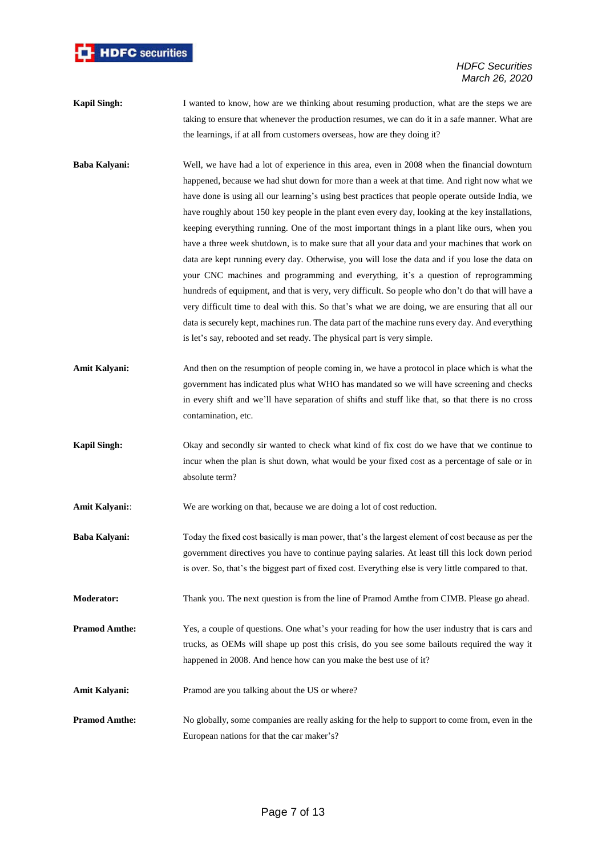

- **Kapil Singh:** I wanted to know, how are we thinking about resuming production, what are the steps we are taking to ensure that whenever the production resumes, we can do it in a safe manner. What are the learnings, if at all from customers overseas, how are they doing it?
- **Baba Kalyani:** Well, we have had a lot of experience in this area, even in 2008 when the financial downturn happened, because we had shut down for more than a week at that time. And right now what we have done is using all our learning's using best practices that people operate outside India, we have roughly about 150 key people in the plant even every day, looking at the key installations, keeping everything running. One of the most important things in a plant like ours, when you have a three week shutdown, is to make sure that all your data and your machines that work on data are kept running every day. Otherwise, you will lose the data and if you lose the data on your CNC machines and programming and everything, it's a question of reprogramming hundreds of equipment, and that is very, very difficult. So people who don't do that will have a very difficult time to deal with this. So that's what we are doing, we are ensuring that all our data is securely kept, machines run. The data part of the machine runs every day. And everything is let's say, rebooted and set ready. The physical part is very simple.
- Amit Kalyani: And then on the resumption of people coming in, we have a protocol in place which is what the government has indicated plus what WHO has mandated so we will have screening and checks in every shift and we'll have separation of shifts and stuff like that, so that there is no cross contamination, etc.
- **Kapil Singh:** Okay and secondly sir wanted to check what kind of fix cost do we have that we continue to incur when the plan is shut down, what would be your fixed cost as a percentage of sale or in absolute term?

**Amit Kalyani::** We are working on that, because we are doing a lot of cost reduction.

- **Baba Kalyani:** Today the fixed cost basically is man power, that's the largest element of cost because as per the government directives you have to continue paying salaries. At least till this lock down period is over. So, that's the biggest part of fixed cost. Everything else is very little compared to that.
- **Moderator:** Thank you. The next question is from the line of Pramod Amthe from CIMB. Please go ahead.

**Pramod Amthe:** Yes, a couple of questions. One what's your reading for how the user industry that is cars and trucks, as OEMs will shape up post this crisis, do you see some bailouts required the way it happened in 2008. And hence how can you make the best use of it?

- Amit Kalyani: Pramod are you talking about the US or where?
- **Pramod Amthe:** No globally, some companies are really asking for the help to support to come from, even in the European nations for that the car maker's?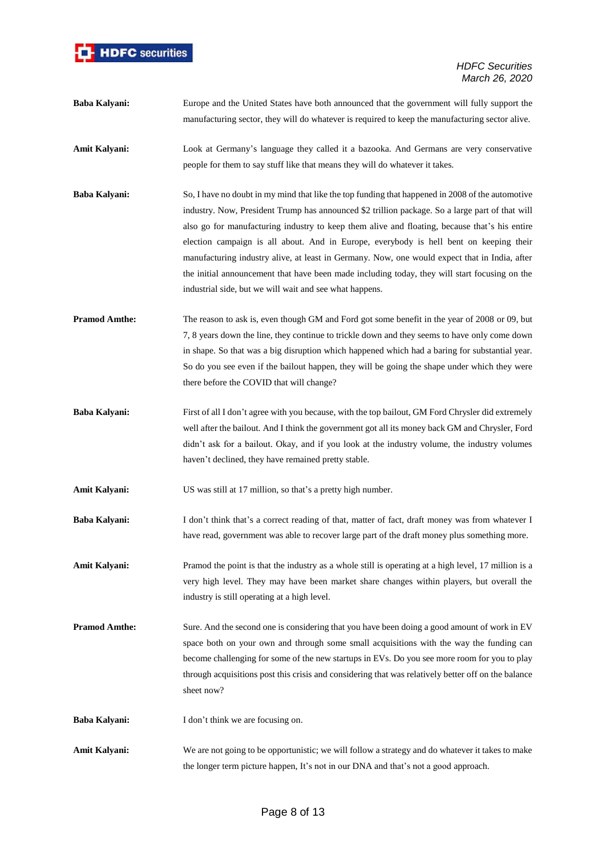

- **Baba Kalyani:** Europe and the United States have both announced that the government will fully support the manufacturing sector, they will do whatever is required to keep the manufacturing sector alive.
- **Amit Kalyani:** Look at Germany's language they called it a bazooka. And Germans are very conservative people for them to say stuff like that means they will do whatever it takes.
- **Baba Kalyani:** So, I have no doubt in my mind that like the top funding that happened in 2008 of the automotive industry. Now, President Trump has announced \$2 trillion package. So a large part of that will also go for manufacturing industry to keep them alive and floating, because that's his entire election campaign is all about. And in Europe, everybody is hell bent on keeping their manufacturing industry alive, at least in Germany. Now, one would expect that in India, after the initial announcement that have been made including today, they will start focusing on the industrial side, but we will wait and see what happens.
- **Pramod Amthe:** The reason to ask is, even though GM and Ford got some benefit in the year of 2008 or 09, but 7, 8 years down the line, they continue to trickle down and they seems to have only come down in shape. So that was a big disruption which happened which had a baring for substantial year. So do you see even if the bailout happen, they will be going the shape under which they were there before the COVID that will change?
- **Baba Kalyani:** First of all I don't agree with you because, with the top bailout, GM Ford Chrysler did extremely well after the bailout. And I think the government got all its money back GM and Chrysler, Ford didn't ask for a bailout. Okay, and if you look at the industry volume, the industry volumes haven't declined, they have remained pretty stable.
- Amit Kalyani: US was still at 17 million, so that's a pretty high number.
- **Baba Kalyani:** I don't think that's a correct reading of that, matter of fact, draft money was from whatever I have read, government was able to recover large part of the draft money plus something more.
- **Amit Kalyani:** Pramod the point is that the industry as a whole still is operating at a high level, 17 million is a very high level. They may have been market share changes within players, but overall the industry is still operating at a high level.
- **Pramod Amthe:** Sure. And the second one is considering that you have been doing a good amount of work in EV space both on your own and through some small acquisitions with the way the funding can become challenging for some of the new startups in EVs. Do you see more room for you to play through acquisitions post this crisis and considering that was relatively better off on the balance sheet now?
- **Baba Kalyani:** I don't think we are focusing on.
- **Amit Kalyani:** We are not going to be opportunistic; we will follow a strategy and do whatever it takes to make the longer term picture happen, It's not in our DNA and that's not a good approach.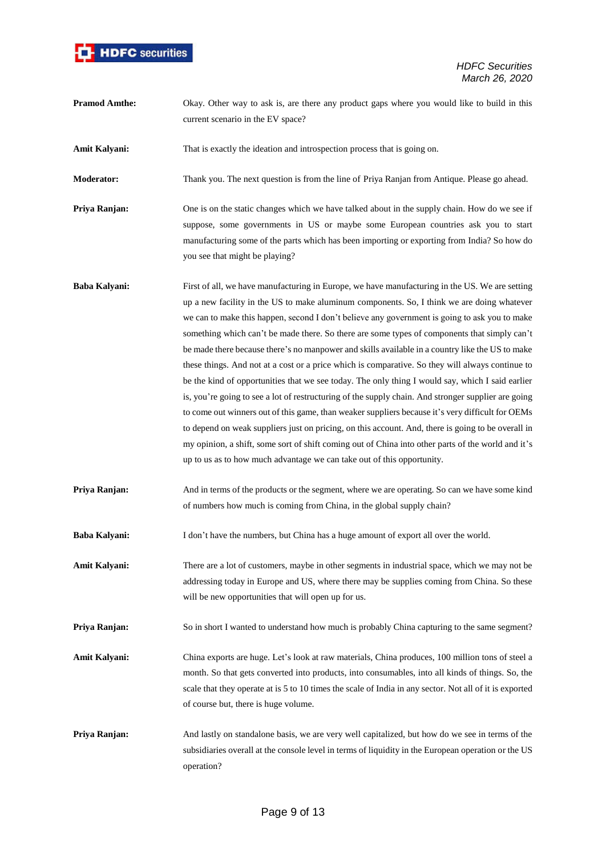

**Pramod Amthe:** Okay. Other way to ask is, are there any product gaps where you would like to build in this current scenario in the EV space?

Amit Kalyani: That is exactly the ideation and introspection process that is going on.

**Moderator:** Thank you. The next question is from the line of Priya Ranjan from Antique. Please go ahead.

**Priya Ranjan:** One is on the static changes which we have talked about in the supply chain. How do we see if suppose, some governments in US or maybe some European countries ask you to start manufacturing some of the parts which has been importing or exporting from India? So how do you see that might be playing?

- **Baba Kalyani:** First of all, we have manufacturing in Europe, we have manufacturing in the US. We are setting up a new facility in the US to make aluminum components. So, I think we are doing whatever we can to make this happen, second I don't believe any government is going to ask you to make something which can't be made there. So there are some types of components that simply can't be made there because there's no manpower and skills available in a country like the US to make these things. And not at a cost or a price which is comparative. So they will always continue to be the kind of opportunities that we see today. The only thing I would say, which I said earlier is, you're going to see a lot of restructuring of the supply chain. And stronger supplier are going to come out winners out of this game, than weaker suppliers because it's very difficult for OEMs to depend on weak suppliers just on pricing, on this account. And, there is going to be overall in my opinion, a shift, some sort of shift coming out of China into other parts of the world and it's up to us as to how much advantage we can take out of this opportunity.
- **Priya Ranjan:** And in terms of the products or the segment, where we are operating. So can we have some kind of numbers how much is coming from China, in the global supply chain?
- **Baba Kalyani:** I don't have the numbers, but China has a huge amount of export all over the world.
- **Amit Kalyani:** There are a lot of customers, maybe in other segments in industrial space, which we may not be addressing today in Europe and US, where there may be supplies coming from China. So these will be new opportunities that will open up for us.
- **Priya Ranjan:** So in short I wanted to understand how much is probably China capturing to the same segment?
- **Amit Kalyani:** China exports are huge. Let's look at raw materials, China produces, 100 million tons of steel a month. So that gets converted into products, into consumables, into all kinds of things. So, the scale that they operate at is 5 to 10 times the scale of India in any sector. Not all of it is exported of course but, there is huge volume.
- **Priya Ranjan:** And lastly on standalone basis, we are very well capitalized, but how do we see in terms of the subsidiaries overall at the console level in terms of liquidity in the European operation or the US operation?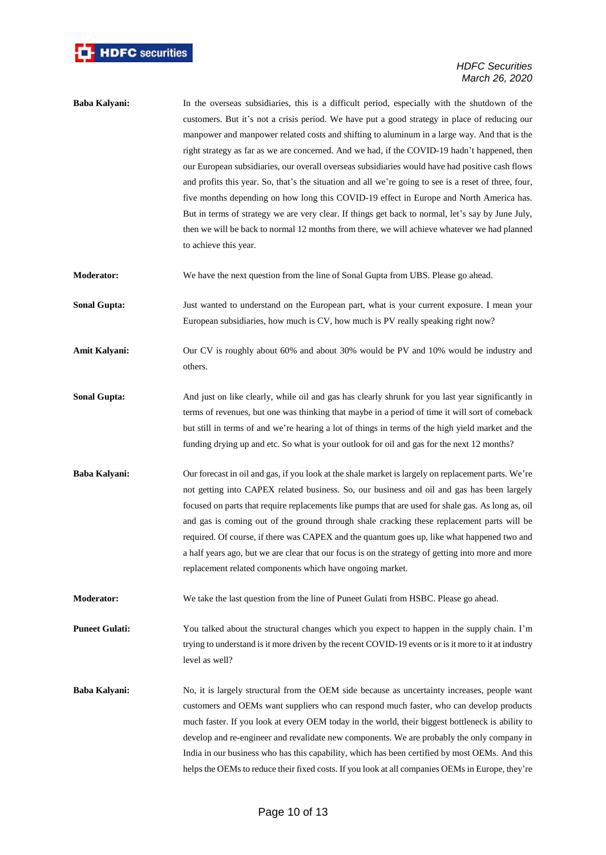

- **Baba Kalyani:** In the overseas subsidiaries, this is a difficult period, especially with the shutdown of the customers. But it's not a crisis period. We have put a good strategy in place of reducing our manpower and manpower related costs and shifting to aluminum in a large way. And that is the right strategy as far as we are concerned. And we had, if the COVID-19 hadn't happened, then our European subsidiaries, our overall overseas subsidiaries would have had positive cash flows and profits this year. So, that's the situation and all we're going to see is a reset of three, four, five months depending on how long this COVID-19 effect in Europe and North America has. But in terms of strategy we are very clear. If things get back to normal, let's say by June July, then we will be back to normal 12 months from there, we will achieve whatever we had planned to achieve this year.
- **Moderator:** We have the next question from the line of Sonal Gupta from UBS. Please go ahead.
- **Sonal Gupta:** Just wanted to understand on the European part, what is your current exposure. I mean your European subsidiaries, how much is CV, how much is PV really speaking right now?
- Amit Kalyani: Our CV is roughly about 60% and about 30% would be PV and 10% would be industry and others.
- **Sonal Gupta:** And just on like clearly, while oil and gas has clearly shrunk for you last year significantly in terms of revenues, but one was thinking that maybe in a period of time it will sort of comeback but still in terms of and we're hearing a lot of things in terms of the high yield market and the funding drying up and etc. So what is your outlook for oil and gas for the next 12 months?
- **Baba Kalyani:** Our forecast in oil and gas, if you look at the shale market is largely on replacement parts. We're not getting into CAPEX related business. So, our business and oil and gas has been largely focused on parts that require replacements like pumps that are used for shale gas. As long as, oil and gas is coming out of the ground through shale cracking these replacement parts will be required. Of course, if there was CAPEX and the quantum goes up, like what happened two and a half years ago, but we are clear that our focus is on the strategy of getting into more and more replacement related components which have ongoing market.
- **Moderator:** We take the last question from the line of Puneet Gulati from HSBC. Please go ahead.

**Puneet Gulati:** You talked about the structural changes which you expect to happen in the supply chain. I'm trying to understand is it more driven by the recent COVID-19 events or is it more to it at industry level as well?

**Baba Kalyani:** No, it is largely structural from the OEM side because as uncertainty increases, people want customers and OEMs want suppliers who can respond much faster, who can develop products much faster. If you look at every OEM today in the world, their biggest bottleneck is ability to develop and re-engineer and revalidate new components. We are probably the only company in India in our business who has this capability, which has been certified by most OEMs. And this helps the OEMs to reduce their fixed costs. If you look at all companies OEMs in Europe, they're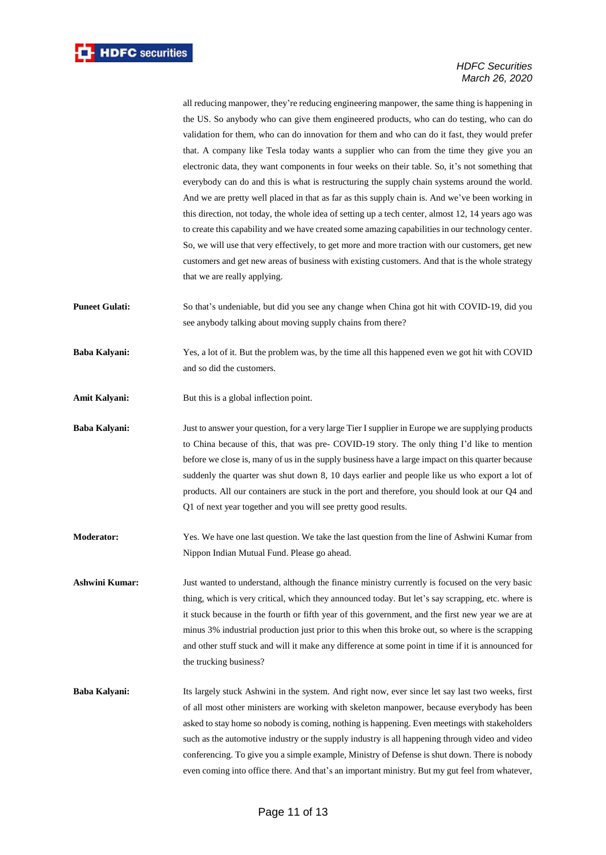all reducing manpower, they're reducing engineering manpower, the same thing is happening in the US. So anybody who can give them engineered products, who can do testing, who can do validation for them, who can do innovation for them and who can do it fast, they would prefer that. A company like Tesla today wants a supplier who can from the time they give you an electronic data, they want components in four weeks on their table. So, it's not something that everybody can do and this is what is restructuring the supply chain systems around the world. And we are pretty well placed in that as far as this supply chain is. And we've been working in this direction, not today, the whole idea of setting up a tech center, almost 12, 14 years ago was to create this capability and we have created some amazing capabilities in our technology center. So, we will use that very effectively, to get more and more traction with our customers, get new customers and get new areas of business with existing customers. And that is the whole strategy that we are really applying.

**Puneet Gulati:** So that's undeniable, but did you see any change when China got hit with COVID-19, did you see anybody talking about moving supply chains from there?

**Baba Kalyani:** Yes, a lot of it. But the problem was, by the time all this happened even we got hit with COVID and so did the customers.

Amit Kalyani: But this is a global inflection point.

**Baba Kalyani:** Just to answer your question, for a very large Tier I supplier in Europe we are supplying products to China because of this, that was pre- COVID-19 story. The only thing I'd like to mention before we close is, many of us in the supply business have a large impact on this quarter because suddenly the quarter was shut down 8, 10 days earlier and people like us who export a lot of products. All our containers are stuck in the port and therefore, you should look at our Q4 and Q1 of next year together and you will see pretty good results.

**Moderator:** Yes. We have one last question. We take the last question from the line of Ashwini Kumar from Nippon Indian Mutual Fund. Please go ahead.

**Ashwini Kumar:** Just wanted to understand, although the finance ministry currently is focused on the very basic thing, which is very critical, which they announced today. But let's say scrapping, etc. where is it stuck because in the fourth or fifth year of this government, and the first new year we are at minus 3% industrial production just prior to this when this broke out, so where is the scrapping and other stuff stuck and will it make any difference at some point in time if it is announced for the trucking business?

**Baba Kalyani:** Its largely stuck Ashwini in the system. And right now, ever since let say last two weeks, first of all most other ministers are working with skeleton manpower, because everybody has been asked to stay home so nobody is coming, nothing is happening. Even meetings with stakeholders such as the automotive industry or the supply industry is all happening through video and video conferencing. To give you a simple example, Ministry of Defense is shut down. There is nobody even coming into office there. And that's an important ministry. But my gut feel from whatever,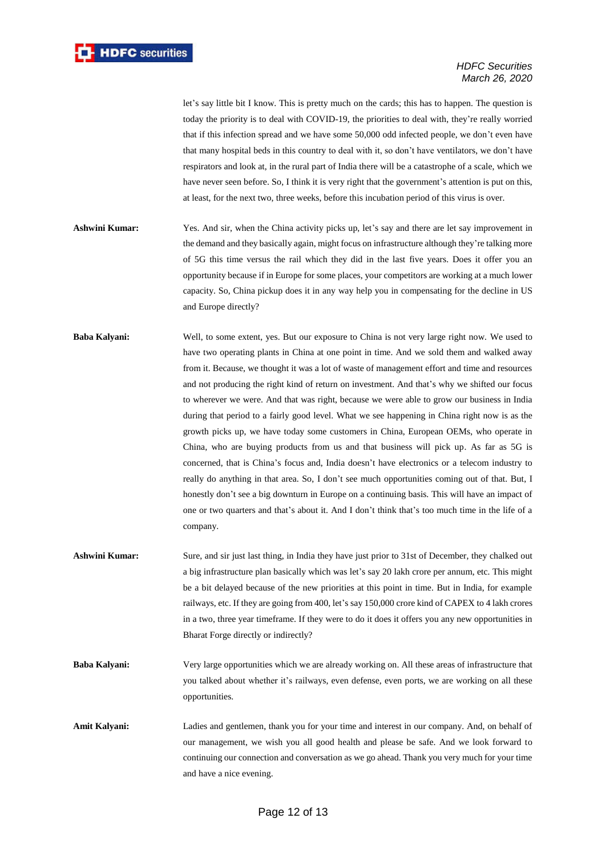

let's say little bit I know. This is pretty much on the cards; this has to happen. The question is today the priority is to deal with COVID-19, the priorities to deal with, they're really worried that if this infection spread and we have some 50,000 odd infected people, we don't even have that many hospital beds in this country to deal with it, so don't have ventilators, we don't have respirators and look at, in the rural part of India there will be a catastrophe of a scale, which we have never seen before. So, I think it is very right that the government's attention is put on this, at least, for the next two, three weeks, before this incubation period of this virus is over.

- **Ashwini Kumar:** Yes. And sir, when the China activity picks up, let's say and there are let say improvement in the demand and they basically again, might focus on infrastructure although they're talking more of 5G this time versus the rail which they did in the last five years. Does it offer you an opportunity because if in Europe for some places, your competitors are working at a much lower capacity. So, China pickup does it in any way help you in compensating for the decline in US and Europe directly?
- **Baba Kalyani:** Well, to some extent, yes. But our exposure to China is not very large right now. We used to have two operating plants in China at one point in time. And we sold them and walked away from it. Because, we thought it was a lot of waste of management effort and time and resources and not producing the right kind of return on investment. And that's why we shifted our focus to wherever we were. And that was right, because we were able to grow our business in India during that period to a fairly good level. What we see happening in China right now is as the growth picks up, we have today some customers in China, European OEMs, who operate in China, who are buying products from us and that business will pick up. As far as 5G is concerned, that is China's focus and, India doesn't have electronics or a telecom industry to really do anything in that area. So, I don't see much opportunities coming out of that. But, I honestly don't see a big downturn in Europe on a continuing basis. This will have an impact of one or two quarters and that's about it. And I don't think that's too much time in the life of a company.
- **Ashwini Kumar:** Sure, and sir just last thing, in India they have just prior to 31st of December, they chalked out a big infrastructure plan basically which was let's say 20 lakh crore per annum, etc. This might be a bit delayed because of the new priorities at this point in time. But in India, for example railways, etc. If they are going from 400, let's say 150,000 crore kind of CAPEX to 4 lakh crores in a two, three year timeframe. If they were to do it does it offers you any new opportunities in Bharat Forge directly or indirectly?
- **Baba Kalyani:** Very large opportunities which we are already working on. All these areas of infrastructure that you talked about whether it's railways, even defense, even ports, we are working on all these opportunities.
- **Amit Kalyani:** Ladies and gentlemen, thank you for your time and interest in our company. And, on behalf of our management, we wish you all good health and please be safe. And we look forward to continuing our connection and conversation as we go ahead. Thank you very much for your time and have a nice evening.